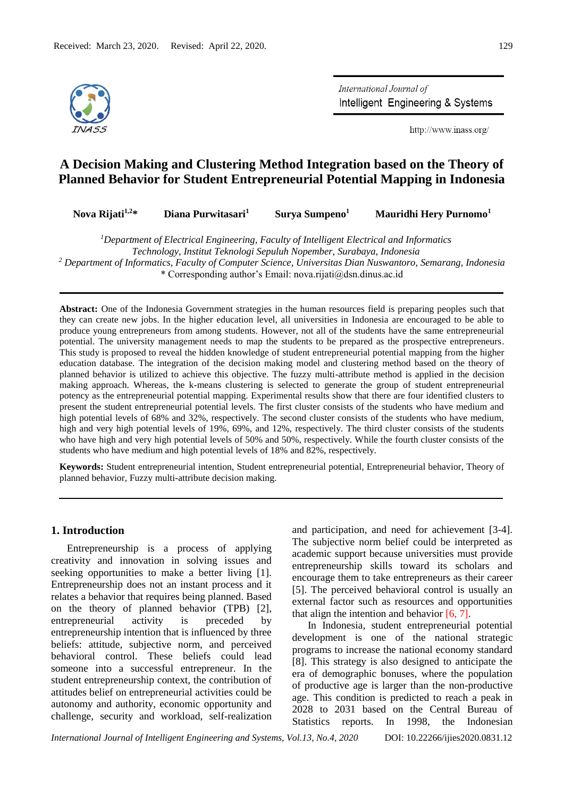

International Journal of Intelligent Engineering & Systems

http://www.inass.org/

# **A Decision Making and Clustering Method Integration based on the Theory of Planned Behavior for Student Entrepreneurial Potential Mapping in Indonesia**

| Nova Rijati $1,2*$<br>Diana Purwitasari <sup>1</sup><br>Mauridhi Hery Purnomo <sup>1</sup><br>Surva Sumpeno <sup>1</sup> |  |
|--------------------------------------------------------------------------------------------------------------------------|--|
|--------------------------------------------------------------------------------------------------------------------------|--|

*<sup>1</sup>Department of Electrical Engineering, Faculty of Intelligent Electrical and Informatics Technology, Institut Teknologi Sepuluh Nopember, Surabaya, Indonesia*

*<sup>2</sup> Department of Informatics, Faculty of Computer Science, Universitas Dian Nuswantoro, Semarang, Indonesia*  \* Corresponding author's Email: nova.rijati@dsn.dinus.ac.id

**Abstract:** One of the Indonesia Government strategies in the human resources field is preparing peoples such that they can create new jobs. In the higher education level, all universities in Indonesia are encouraged to be able to produce young entrepreneurs from among students. However, not all of the students have the same entrepreneurial potential. The university management needs to map the students to be prepared as the prospective entrepreneurs. This study is proposed to reveal the hidden knowledge of student entrepreneurial potential mapping from the higher education database. The integration of the decision making model and clustering method based on the theory of planned behavior is utilized to achieve this objective. The fuzzy multi-attribute method is applied in the decision making approach. Whereas, the k-means clustering is selected to generate the group of student entrepreneurial potency as the entrepreneurial potential mapping. Experimental results show that there are four identified clusters to present the student entrepreneurial potential levels. The first cluster consists of the students who have medium and high potential levels of 68% and 32%, respectively. The second cluster consists of the students who have medium, high and very high potential levels of 19%, 69%, and 12%, respectively. The third cluster consists of the students who have high and very high potential levels of 50% and 50%, respectively. While the fourth cluster consists of the students who have medium and high potential levels of 18% and 82%, respectively.

**Keywords:** Student entrepreneurial intention, Student entrepreneurial potential, Entrepreneurial behavior, Theory of planned behavior, Fuzzy multi-attribute decision making.

# **1. Introduction**

Entrepreneurship is a process of applying creativity and innovation in solving issues and seeking opportunities to make a better living [1]. Entrepreneurship does not an instant process and it relates a behavior that requires being planned. Based on the theory of planned behavior (TPB) [2], entrepreneurial activity is preceded by entrepreneurship intention that is influenced by three beliefs: attitude, subjective norm, and perceived behavioral control. These beliefs could lead someone into a successful entrepreneur. In the student entrepreneurship context, the contribution of attitudes belief on entrepreneurial activities could be autonomy and authority, economic opportunity and challenge, security and workload, self-realization and participation, and need for achievement [3-4]. The subjective norm belief could be interpreted as academic support because universities must provide entrepreneurship skills toward its scholars and encourage them to take entrepreneurs as their career [5]. The perceived behavioral control is usually an external factor such as resources and opportunities that align the intention and behavior [6, 7].

In Indonesia, student entrepreneurial potential development is one of the national strategic programs to increase the national economy standard [8]. This strategy is also designed to anticipate the era of demographic bonuses, where the population of productive age is larger than the non-productive age. This condition is predicted to reach a peak in 2028 to 2031 based on the Central Bureau of Statistics reports. In 1998, the Indonesian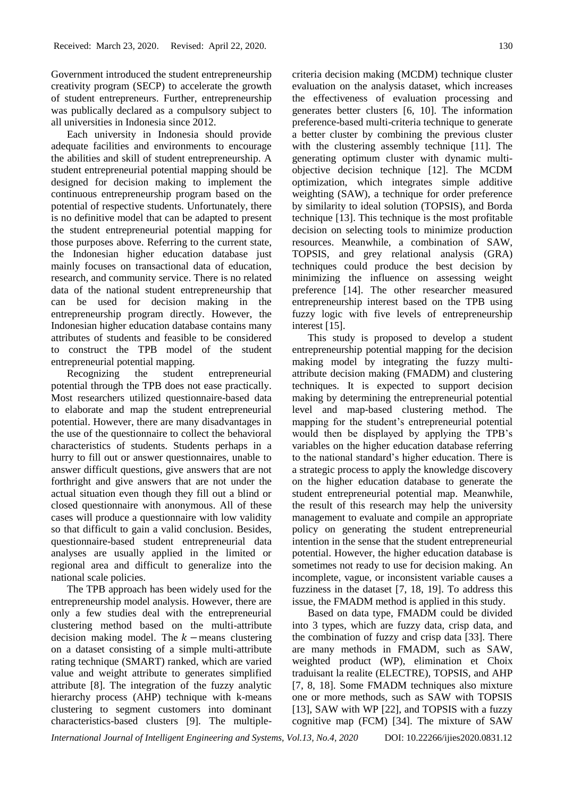Government introduced the student entrepreneurship creativity program (SECP) to accelerate the growth of student entrepreneurs. Further, entrepreneurship was publically declared as a compulsory subject to all universities in Indonesia since 2012.

Each university in Indonesia should provide adequate facilities and environments to encourage the abilities and skill of student entrepreneurship. A student entrepreneurial potential mapping should be designed for decision making to implement the continuous entrepreneurship program based on the potential of respective students. Unfortunately, there is no definitive model that can be adapted to present the student entrepreneurial potential mapping for those purposes above. Referring to the current state, the Indonesian higher education database just mainly focuses on transactional data of education, research, and community service. There is no related data of the national student entrepreneurship that can be used for decision making in the entrepreneurship program directly. However, the Indonesian higher education database contains many attributes of students and feasible to be considered to construct the TPB model of the student entrepreneurial potential mapping.

Recognizing the student entrepreneurial potential through the TPB does not ease practically. Most researchers utilized questionnaire-based data to elaborate and map the student entrepreneurial potential. However, there are many disadvantages in the use of the questionnaire to collect the behavioral characteristics of students. Students perhaps in a hurry to fill out or answer questionnaires, unable to answer difficult questions, give answers that are not forthright and give answers that are not under the actual situation even though they fill out a blind or closed questionnaire with anonymous. All of these cases will produce a questionnaire with low validity so that difficult to gain a valid conclusion. Besides, questionnaire-based student entrepreneurial data analyses are usually applied in the limited or regional area and difficult to generalize into the national scale policies.

The TPB approach has been widely used for the entrepreneurship model analysis. However, there are only a few studies deal with the entrepreneurial clustering method based on the multi-attribute decision making model. The  $k$  –means clustering on a dataset consisting of a simple multi-attribute rating technique (SMART) ranked, which are varied value and weight attribute to generates simplified attribute [8]. The integration of the fuzzy analytic hierarchy process (AHP) technique with k-means clustering to segment customers into dominant characteristics-based clusters [9]. The multiplecriteria decision making (MCDM) technique cluster evaluation on the analysis dataset, which increases the effectiveness of evaluation processing and generates better clusters [6, 10]. The information preference-based multi-criteria technique to generate a better cluster by combining the previous cluster with the clustering assembly technique [11]. The generating optimum cluster with dynamic multiobjective decision technique [12]. The MCDM optimization, which integrates simple additive weighting (SAW), a technique for order preference by similarity to ideal solution (TOPSIS), and Borda technique [13]. This technique is the most profitable decision on selecting tools to minimize production resources. Meanwhile, a combination of SAW, TOPSIS, and grey relational analysis (GRA) techniques could produce the best decision by minimizing the influence on assessing weight preference [14]. The other researcher measured entrepreneurship interest based on the TPB using fuzzy logic with five levels of entrepreneurship interest [15].

This study is proposed to develop a student entrepreneurship potential mapping for the decision making model by integrating the fuzzy multiattribute decision making (FMADM) and clustering techniques. It is expected to support decision making by determining the entrepreneurial potential level and map-based clustering method. The mapping for the student's entrepreneurial potential would then be displayed by applying the TPB's variables on the higher education database referring to the national standard's higher education. There is a strategic process to apply the knowledge discovery on the higher education database to generate the student entrepreneurial potential map. Meanwhile, the result of this research may help the university management to evaluate and compile an appropriate policy on generating the student entrepreneurial intention in the sense that the student entrepreneurial potential. However, the higher education database is sometimes not ready to use for decision making. An incomplete, vague, or inconsistent variable causes a fuzziness in the dataset [7, 18, 19]. To address this issue, the FMADM method is applied in this study.

Based on data type, FMADM could be divided into 3 types, which are fuzzy data, crisp data, and the combination of fuzzy and crisp data [33]. There are many methods in FMADM, such as SAW, weighted product (WP), elimination et Choix traduisant la realite (ELECTRE), TOPSIS, and AHP [7, 8, 18]. Some FMADM techniques also mixture one or more methods, such as SAW with TOPSIS [13], SAW with WP [22], and TOPSIS with a fuzzy cognitive map (FCM) [34]. The mixture of SAW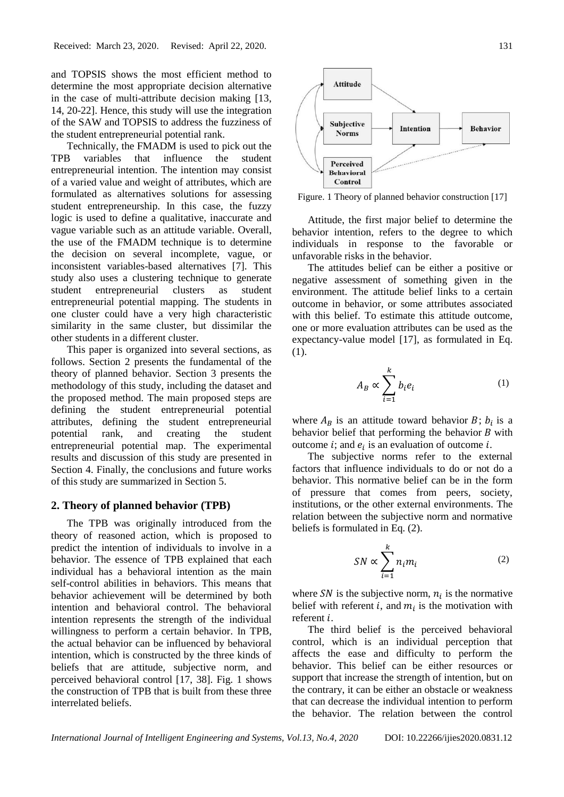and TOPSIS shows the most efficient method to determine the most appropriate decision alternative in the case of multi-attribute decision making [13, 14, 20-22]. Hence, this study will use the integration of the SAW and TOPSIS to address the fuzziness of the student entrepreneurial potential rank.

Technically, the FMADM is used to pick out the TPB variables that influence the student entrepreneurial intention. The intention may consist of a varied value and weight of attributes, which are formulated as alternatives solutions for assessing student entrepreneurship. In this case, the fuzzy logic is used to define a qualitative, inaccurate and vague variable such as an attitude variable. Overall, the use of the FMADM technique is to determine the decision on several incomplete, vague, or inconsistent variables-based alternatives [7]. This study also uses a clustering technique to generate student entrepreneurial clusters as student entrepreneurial potential mapping. The students in one cluster could have a very high characteristic similarity in the same cluster, but dissimilar the other students in a different cluster.

This paper is organized into several sections, as follows. Section 2 presents the fundamental of the theory of planned behavior. Section 3 presents the methodology of this study, including the dataset and the proposed method. The main proposed steps are defining the student entrepreneurial potential attributes, defining the student entrepreneurial potential rank, and creating the student entrepreneurial potential map. The experimental results and discussion of this study are presented in Section 4. Finally, the conclusions and future works of this study are summarized in Section 5.

### **2. Theory of planned behavior (TPB)**

The TPB was originally introduced from the theory of reasoned action, which is proposed to predict the intention of individuals to involve in a behavior. The essence of TPB explained that each individual has a behavioral intention as the main self-control abilities in behaviors. This means that behavior achievement will be determined by both intention and behavioral control. The behavioral intention represents the strength of the individual willingness to perform a certain behavior. In TPB, the actual behavior can be influenced by behavioral intention, which is constructed by the three kinds of beliefs that are attitude, subjective norm, and perceived behavioral control [17, 38]. Fig. 1 shows the construction of TPB that is built from these three interrelated beliefs.



Figure. 1 Theory of planned behavior construction [17]

Attitude, the first major belief to determine the behavior intention, refers to the degree to which individuals in response to the favorable or unfavorable risks in the behavior.

The attitudes belief can be either a positive or negative assessment of something given in the environment. The attitude belief links to a certain outcome in behavior, or some attributes associated with this belief. To estimate this attitude outcome, one or more evaluation attributes can be used as the expectancy-value model [17], as formulated in Eq. (1).

$$
A_B \propto \sum_{i=1}^{k} b_i e_i \tag{1}
$$

where  $A_B$  is an attitude toward behavior  $B$ ;  $b_i$  is a behavior belief that performing the behavior  $B$  with outcome *i*; and  $e_i$  is an evaluation of outcome *i*.

The subjective norms refer to the external factors that influence individuals to do or not do a behavior. This normative belief can be in the form of pressure that comes from peers, society, institutions, or the other external environments. The relation between the subjective norm and normative beliefs is formulated in Eq. (2).

$$
SN \propto \sum_{i=1}^{k} n_i m_i \tag{2}
$$

where SN is the subjective norm,  $n_i$  is the normative belief with referent *i*, and  $m<sub>i</sub>$  is the motivation with referent *i*.

The third belief is the perceived behavioral control, which is an individual perception that affects the ease and difficulty to perform the behavior. This belief can be either resources or support that increase the strength of intention, but on the contrary, it can be either an obstacle or weakness that can decrease the individual intention to perform the behavior. The relation between the control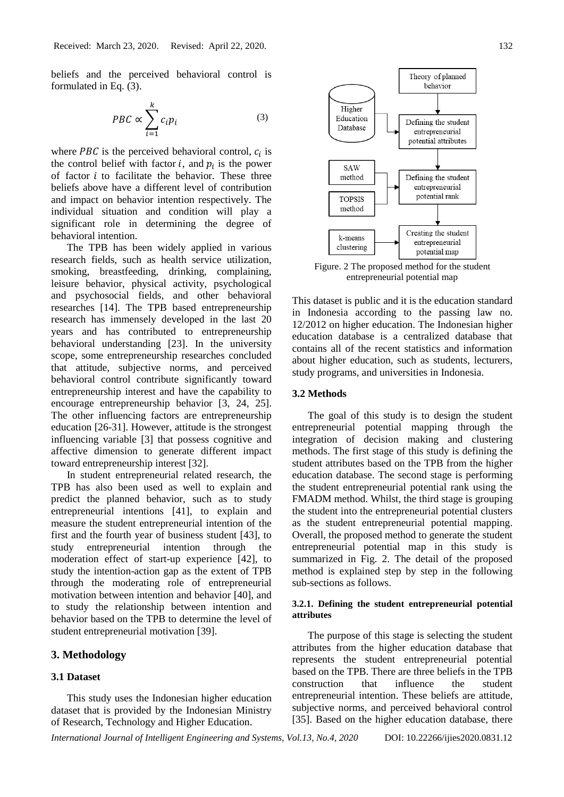beliefs and the perceived behavioral control is formulated in Eq. (3).

$$
PBC \propto \sum_{i=1}^{k} c_i p_i \tag{3}
$$

where *PBC* is the perceived behavioral control,  $c_i$  is the control belief with factor  $i$ , and  $p_i$  is the power of factor  $i$  to facilitate the behavior. These three beliefs above have a different level of contribution and impact on behavior intention respectively. The individual situation and condition will play a significant role in determining the degree of behavioral intention.

The TPB has been widely applied in various research fields, such as health service utilization, smoking, breastfeeding, drinking, complaining, leisure behavior, physical activity, psychological and psychosocial fields, and other behavioral researches [14]. The TPB based entrepreneurship research has immensely developed in the last 20 years and has contributed to entrepreneurship behavioral understanding [23]. In the university scope, some entrepreneurship researches concluded that attitude, subjective norms, and perceived behavioral control contribute significantly toward entrepreneurship interest and have the capability to encourage entrepreneurship behavior [3, 24, 25]. The other influencing factors are entrepreneurship education [26-31]. However, attitude is the strongest influencing variable [3] that possess cognitive and affective dimension to generate different impact toward entrepreneurship interest [32].

In student entrepreneurial related research, the TPB has also been used as well to explain and predict the planned behavior, such as to study entrepreneurial intentions [41], to explain and measure the student entrepreneurial intention of the first and the fourth year of business student [43], to study entrepreneurial intention through the moderation effect of start-up experience [42], to study the intention-action gap as the extent of TPB through the moderating role of entrepreneurial motivation between intention and behavior [40], and to study the relationship between intention and behavior based on the TPB to determine the level of student entrepreneurial motivation [39].

### **3. Methodology**

# **3.1 Dataset**

This study uses the Indonesian higher education dataset that is provided by the Indonesian Ministry of Research, Technology and Higher Education.



Figure. 2 The proposed method for the student entrepreneurial potential map

This dataset is public and it is the education standard in Indonesia according to the passing law no. 12/2012 on higher education. The Indonesian higher education database is a centralized database that contains all of the recent statistics and information about higher education, such as students, lecturers, study programs, and universities in Indonesia.

### **3.2 Methods**

The goal of this study is to design the student entrepreneurial potential mapping through the integration of decision making and clustering methods. The first stage of this study is defining the student attributes based on the TPB from the higher education database. The second stage is performing the student entrepreneurial potential rank using the FMADM method. Whilst, the third stage is grouping the student into the entrepreneurial potential clusters as the student entrepreneurial potential mapping. Overall, the proposed method to generate the student entrepreneurial potential map in this study is summarized in Fig. 2. The detail of the proposed method is explained step by step in the following sub-sections as follows.

### **3.2.1. Defining the student entrepreneurial potential attributes**

The purpose of this stage is selecting the student attributes from the higher education database that represents the student entrepreneurial potential based on the TPB. There are three beliefs in the TPB construction that influence the student entrepreneurial intention. These beliefs are attitude, subjective norms, and perceived behavioral control [35]. Based on the higher education database, there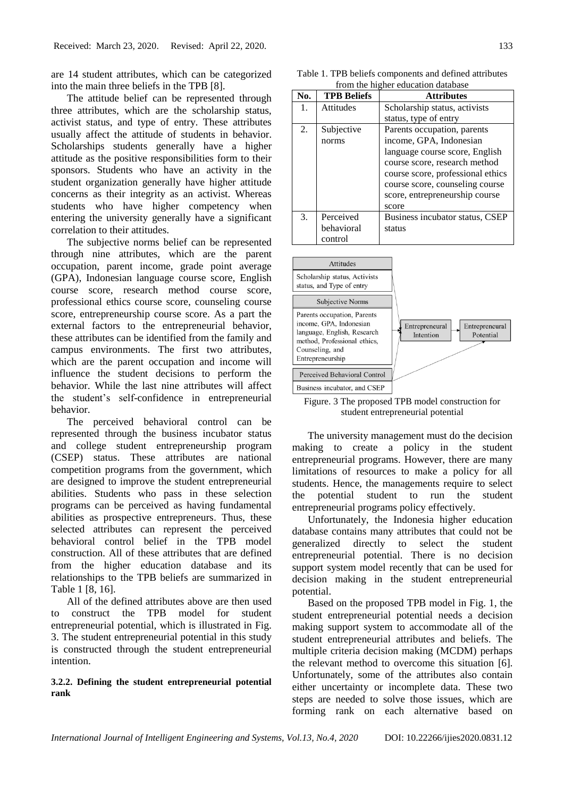are 14 student attributes, which can be categorized into the main three beliefs in the TPB [8].

The attitude belief can be represented through three attributes, which are the scholarship status, activist status, and type of entry. These attributes usually affect the attitude of students in behavior. Scholarships students generally have a higher attitude as the positive responsibilities form to their sponsors. Students who have an activity in the student organization generally have higher attitude concerns as their integrity as an activist. Whereas students who have higher competency when entering the university generally have a significant correlation to their attitudes.

The subjective norms belief can be represented through nine attributes, which are the parent occupation, parent income, grade point average (GPA), Indonesian language course score, English course score, research method course score, professional ethics course score, counseling course score, entrepreneurship course score. As a part the external factors to the entrepreneurial behavior, these attributes can be identified from the family and campus environments. The first two attributes, which are the parent occupation and income will influence the student decisions to perform the behavior. While the last nine attributes will affect the student's self-confidence in entrepreneurial behavior.

The perceived behavioral control can be represented through the business incubator status and college student entrepreneurship program (CSEP) status. These attributes are national competition programs from the government, which are designed to improve the student entrepreneurial abilities. Students who pass in these selection programs can be perceived as having fundamental abilities as prospective entrepreneurs. Thus, these selected attributes can represent the perceived behavioral control belief in the TPB model construction. All of these attributes that are defined from the higher education database and its relationships to the TPB beliefs are summarized in Table 1 [8, 16].

All of the defined attributes above are then used to construct the TPB model for student entrepreneurial potential, which is illustrated in Fig. 3. The student entrepreneurial potential in this study is constructed through the student entrepreneurial intention.

## **3.2.2. Defining the student entrepreneurial potential rank**

Table 1. TPB beliefs components and defined attributes from the higher education database

| No. | <b>TPB Beliefs</b> | <b>Attributes</b>                 |  |  |  |  |
|-----|--------------------|-----------------------------------|--|--|--|--|
| 1.  | Attitudes          | Scholarship status, activists     |  |  |  |  |
|     |                    | status, type of entry             |  |  |  |  |
| 2.  | Subjective         | Parents occupation, parents       |  |  |  |  |
|     | norms              | income, GPA, Indonesian           |  |  |  |  |
|     |                    | language course score, English    |  |  |  |  |
|     |                    | course score, research method     |  |  |  |  |
|     |                    | course score, professional ethics |  |  |  |  |
|     |                    | course score, counseling course   |  |  |  |  |
|     |                    | score, entrepreneurship course    |  |  |  |  |
|     |                    | score                             |  |  |  |  |
| 3.  | Perceived          | Business incubator status, CSEP   |  |  |  |  |
|     | behavioral         | status                            |  |  |  |  |
|     | control            |                                   |  |  |  |  |



Figure. 3 The proposed TPB model construction for student entrepreneurial potential

The university management must do the decision making to create a policy in the student entrepreneurial programs. However, there are many limitations of resources to make a policy for all students. Hence, the managements require to select the potential student to run the student entrepreneurial programs policy effectively.

Unfortunately, the Indonesia higher education database contains many attributes that could not be generalized directly to select the student entrepreneurial potential. There is no decision support system model recently that can be used for decision making in the student entrepreneurial potential.

Based on the proposed TPB model in Fig. 1, the student entrepreneurial potential needs a decision making support system to accommodate all of the student entrepreneurial attributes and beliefs. The multiple criteria decision making (MCDM) perhaps the relevant method to overcome this situation [6]. Unfortunately, some of the attributes also contain either uncertainty or incomplete data. These two steps are needed to solve those issues, which are forming rank on each alternative based on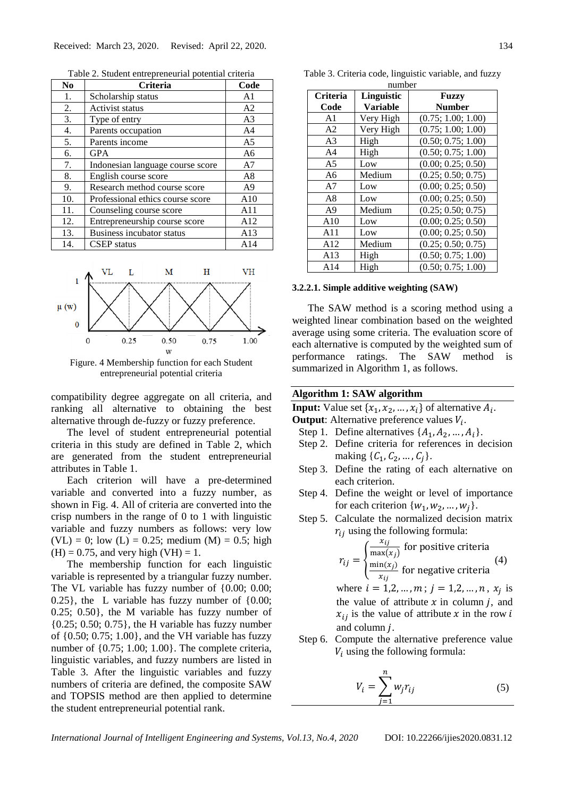Table 2. Student entrepreneurial potential criteria

| N <sub>0</sub> | Criteria                         | Code           |
|----------------|----------------------------------|----------------|
| 1.             | Scholarship status               | A <sub>1</sub> |
| 2.             | Activist status                  | A <sub>2</sub> |
| 3.             | Type of entry                    | A <sub>3</sub> |
| 4.             | Parents occupation               | A <sub>4</sub> |
| 5.             | Parents income                   | A <sub>5</sub> |
| 6.             | <b>GPA</b>                       | A6             |
| 7.             | Indonesian language course score | A7             |
| 8.             | English course score             | A8             |
| 9.             | Research method course score     | A <sub>9</sub> |
| 10.            | Professional ethics course score | A10            |
| 11.            | Counseling course score          | A11            |
| 12.            | Entrepreneurship course score    | A12            |
| 13.            | Business incubator status        | A13            |
| 14.            | <b>CSEP</b> status               | A14            |



Figure. 4 Membership function for each Student entrepreneurial potential criteria

compatibility degree aggregate on all criteria, and ranking all alternative to obtaining the best alternative through de-fuzzy or fuzzy preference.

The level of student entrepreneurial potential criteria in this study are defined in Table 2, which are generated from the student entrepreneurial attributes in Table 1.

Each criterion will have a pre-determined variable and converted into a fuzzy number, as shown in Fig. 4. All of criteria are converted into the crisp numbers in the range of 0 to 1 with linguistic variable and fuzzy numbers as follows: very low  $(VL) = 0$ ; low  $(L) = 0.25$ ; medium  $(M) = 0.5$ ; high  $(H) = 0.75$ , and very high  $(VH) = 1$ .

The membership function for each linguistic variable is represented by a triangular fuzzy number. The VL variable has fuzzy number of {0.00; 0.00; 0.25}, the L variable has fuzzy number of {0.00; 0.25; 0.50}, the M variable has fuzzy number of {0.25; 0.50; 0.75}, the H variable has fuzzy number of {0.50; 0.75; 1.00}, and the VH variable has fuzzy number of  $\{0.75; 1.00; 1.00\}$ . The complete criteria, linguistic variables, and fuzzy numbers are listed in Table 3. After the linguistic variables and fuzzy numbers of criteria are defined, the composite SAW and TOPSIS method are then applied to determine the student entrepreneurial potential rank.

| Criteria       | Linguistic      | Fuzzy              |
|----------------|-----------------|--------------------|
| Code           | <b>Variable</b> | <b>Number</b>      |
| A <sub>1</sub> | Very High       | (0.75; 1.00; 1.00) |
| A <sub>2</sub> | Very High       | (0.75; 1.00; 1.00) |
| A <sub>3</sub> | High            | (0.50; 0.75; 1.00) |
| A <sub>4</sub> | High            | (0.50; 0.75; 1.00) |
| A <sub>5</sub> | Low             | (0.00; 0.25; 0.50) |
| A6             | Medium          | (0.25; 0.50; 0.75) |
| A7             | Low             | (0.00; 0.25; 0.50) |
| A8             | Low             | (0.00; 0.25; 0.50) |
| A <sup>9</sup> | Medium          | (0.25; 0.50; 0.75) |
| A10            | Low             | (0.00; 0.25; 0.50) |
| A11            | Low             | (0.00; 0.25; 0.50) |
| A12            | Medium          | (0.25; 0.50; 0.75) |
| A13            | High            | (0.50; 0.75; 1.00) |
| A14            | High            | (0.50; 0.75; 1.00) |

Table 3. Criteria code, linguistic variable, and fuzzy number

#### **3.2.2.1. Simple additive weighting (SAW)**

The SAW method is a scoring method using a weighted linear combination based on the weighted average using some criteria. The evaluation score of each alternative is computed by the weighted sum of performance ratings. The SAW method is summarized in Algorithm 1, as follows.

### **Algorithm 1: SAW algorithm**

**Input:** Value set  $\{x_1, x_2, ..., x_i\}$  of alternative  $A_i$ .

- **Output**: Alternative preference values  $V_i$ .
	- Step 1. Define alternatives  $\{A_1, A_2, ..., A_i\}.$
	- Step 2. Define criteria for references in decision making  $\{C_1, C_2, ..., C_i\}.$
- Step 3. Define the rating of each alternative on each criterion.
- Step 4. Define the weight or level of importance for each criterion  $\{w_1, w_2, ..., w_i\}.$
- Step 5. Calculate the normalized decision matrix  $r_{ii}$  using the following formula:

$$
r_{ij} = \begin{cases} \frac{x_{ij}}{\max(x_j)} & \text{for positive criteria} \\ \frac{\min(x_j)}{x_{ij}} & \text{for negative criteria} \end{cases} (4)
$$
  
where  $i = 1, 2, ..., m; j = 1, 2, ..., n, x_j$  is

the value of attribute  $x$  in column  $j$ , and  $x_{ij}$  is the value of attribute x in the row i and column  $i$ .

Step 6. Compute the alternative preference value  $V_i$  using the following formula:

$$
V_i = \sum_{j=1}^{n} w_j r_{ij} \tag{5}
$$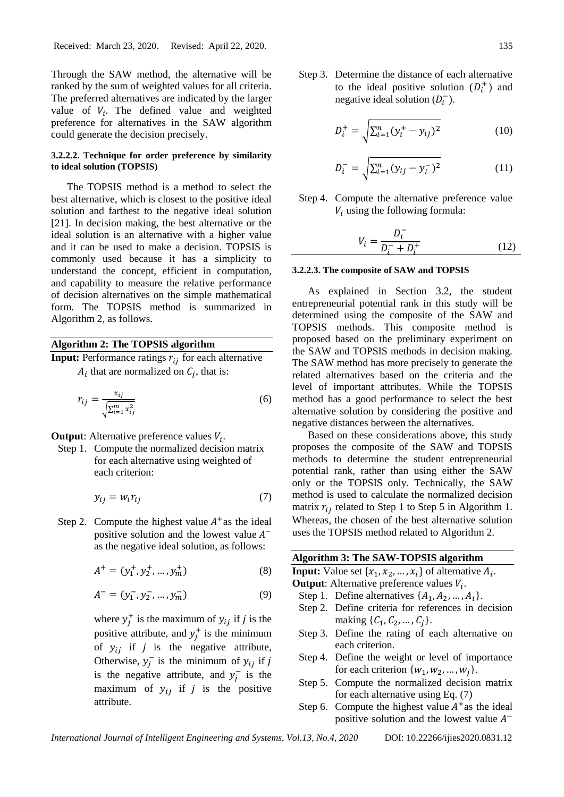Through the SAW method, the alternative will be ranked by the sum of weighted values for all criteria. The preferred alternatives are indicated by the larger value of  $V_i$ . The defined value and weighted preference for alternatives in the SAW algorithm could generate the decision precisely.

# **3.2.2.2. Technique for order preference by similarity to ideal solution (TOPSIS)**

The TOPSIS method is a method to select the best alternative, which is closest to the positive ideal solution and farthest to the negative ideal solution [21]. In decision making, the best alternative or the ideal solution is an alternative with a higher value and it can be used to make a decision. TOPSIS is commonly used because it has a simplicity to understand the concept, efficient in computation, and capability to measure the relative performance of decision alternatives on the simple mathematical form. The TOPSIS method is summarized in Algorithm 2, as follows.

### **Algorithm 2: The TOPSIS algorithm**

**Input:** Performance ratings  $r_{ij}$  for each alternative  $A_i$  that are normalized on  $C_j$ , that is:

$$
r_{ij} = \frac{x_{ij}}{\sqrt{\sum_{i=1}^{m} x_{ij}^2}}\tag{6}
$$

**Output**: Alternative preference values  $V_i$ .

Step 1. Compute the normalized decision matrix for each alternative using weighted of each criterion:

$$
y_{ij} = w_i r_{ij} \tag{7}
$$

Step 2. Compute the highest value  $A^+$  as the ideal positive solution and the lowest value  $A^$ as the negative ideal solution, as follows:

$$
A^{+} = (y_1^{+}, y_2^{+}, \dots, y_m^{+})
$$
 (8)

$$
A^{-} = (y_1^{-}, y_2^{-}, \dots, y_m^{-})
$$
\n(9)

where  $y_j^+$  is the maximum of  $y_{ij}$  if j is the positive attribute, and  $y_j^+$  is the minimum of  $y_{ij}$  if *j* is the negative attribute, Otherwise,  $y_j^-$  is the minimum of  $y_{ij}$  if j is the negative attribute, and  $y_j^-$  is the maximum of  $y_{ij}$  if *j* is the positive attribute.

Step 3. Determine the distance of each alternative to the ideal positive solution  $(D_i^+)$  and negative ideal solution  $(D_i^-)$ .

$$
D_i^+ = \sqrt{\sum_{i=1}^n (y_i^+ - y_{ij})^2}
$$
 (10)

$$
D_i^- = \sqrt{\sum_{i=1}^n (y_{ij} - y_i^-)^2}
$$
 (11)

Step 4. Compute the alternative preference value  $V_i$  using the following formula:

$$
V_i = \frac{D_i^-}{D_i^- + D_i^+}
$$
\n<sup>(12)</sup>

#### **3.2.2.3. The composite of SAW and TOPSIS**

As explained in Section 3.2, the student entrepreneurial potential rank in this study will be determined using the composite of the SAW and TOPSIS methods. This composite method is proposed based on the preliminary experiment on the SAW and TOPSIS methods in decision making. The SAW method has more precisely to generate the related alternatives based on the criteria and the level of important attributes. While the TOPSIS method has a good performance to select the best alternative solution by considering the positive and negative distances between the alternatives.

Based on these considerations above, this study proposes the composite of the SAW and TOPSIS methods to determine the student entrepreneurial potential rank, rather than using either the SAW only or the TOPSIS only. Technically, the SAW method is used to calculate the normalized decision matrix  $r_{ij}$  related to Step 1 to Step 5 in Algorithm 1. Whereas, the chosen of the best alternative solution uses the TOPSIS method related to Algorithm 2.

### **Algorithm 3: The SAW-TOPSIS algorithm**

**Input:** Value set  $\{x_1, x_2, ..., x_i\}$  of alternative  $A_i$ .

- **Output**: Alternative preference values  $V_i$ .
- Step 1. Define alternatives  $\{A_1, A_2, ..., A_i\}.$
- Step 2. Define criteria for references in decision making  $\{C_1, C_2, ..., C_i\}.$
- Step 3. Define the rating of each alternative on each criterion.
- Step 4. Define the weight or level of importance for each criterion  $\{w_1, w_2, ..., w_i\}.$
- Step 5. Compute the normalized decision matrix for each alternative using Eq. (7)
- Step 6. Compute the highest value  $A^+$  as the ideal positive solution and the lowest value  $A^-$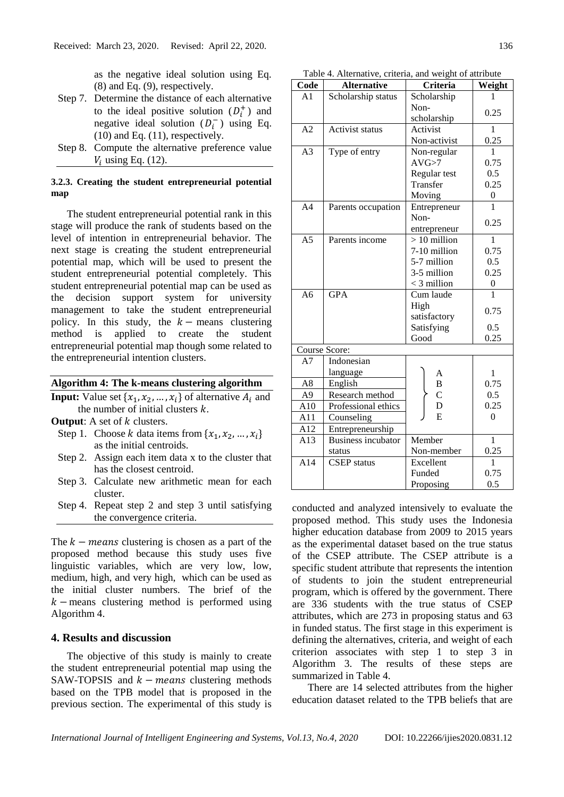as the negative ideal solution using Eq. (8) and Eq. (9), respectively.

- Step 7. Determine the distance of each alternative to the ideal positive solution  $(D_i^+)$  and negative ideal solution  $(D_i^-)$  using Eq. (10) and Eq. (11), respectively.
- Step 8. Compute the alternative preference value  $V_i$  using Eq. (12).

# **3.2.3. Creating the student entrepreneurial potential map**

The student entrepreneurial potential rank in this stage will produce the rank of students based on the level of intention in entrepreneurial behavior. The next stage is creating the student entrepreneurial potential map, which will be used to present the student entrepreneurial potential completely. This student entrepreneurial potential map can be used as the decision support system for university management to take the student entrepreneurial policy. In this study, the  $k$  – means clustering method is applied to create the student entrepreneurial potential map though some related to the entrepreneurial intention clusters.

### **Algorithm 4: The k-means clustering algorithm**

- **Input:** Value set  $\{x_1, x_2, ..., x_i\}$  of alternative  $A_i$  and the number of initial clusters  $k$ .
- **Output:** A set of *k* clusters.
	- Step 1. Choose  $k$  data items from  $\{x_1, x_2, ..., x_i\}$ as the initial centroids.
	- Step 2. Assign each item data x to the cluster that has the closest centroid.
	- Step 3. Calculate new arithmetic mean for each cluster.
	- Step 4. Repeat step 2 and step 3 until satisfying the convergence criteria.

The  $k -$  means clustering is chosen as a part of the proposed method because this study uses five linguistic variables, which are very low, low, medium, high, and very high, which can be used as the initial cluster numbers. The brief of the  $k$  – means clustering method is performed using Algorithm 4.

# **4. Results and discussion**

The objective of this study is mainly to create the student entrepreneurial potential map using the SAW-TOPSIS and  $k$  – *means* clustering methods based on the TPB model that is proposed in the previous section. The experimental of this study is

Table 4. Alternative, criteria, and weight of attribute

| Code           | <b>Alternative</b>        | Criteria      | Weight           |
|----------------|---------------------------|---------------|------------------|
| A1             | Scholarship status        | Scholarship   | 1                |
|                |                           | Non-          | 0.25             |
|                |                           | scholarship   |                  |
| A2             | <b>Activist status</b>    | Activist      | 1                |
|                |                           | Non-activist  | 0.25             |
| A <sub>3</sub> | Type of entry             | Non-regular   | 1                |
|                |                           | AVG > 7       | 0.75             |
|                |                           | Regular test  | 0.5              |
|                |                           | Transfer      | 0.25             |
|                |                           | Moving        | $\boldsymbol{0}$ |
| A <sub>4</sub> | Parents occupation        | Entrepreneur  | 1                |
|                |                           | Non-          | 0.25             |
|                |                           | entrepreneur  |                  |
| A <sub>5</sub> | Parents income            | $>10$ million | 1                |
|                |                           | 7-10 million  | 0.75             |
|                |                           | 5-7 million   | 0.5              |
|                |                           | 3-5 million   | 0.25             |
|                |                           | $<$ 3 million | $\boldsymbol{0}$ |
| A6             | <b>GPA</b>                | Cum laude     |                  |
|                |                           | High          | 0.75             |
|                |                           | satisfactory  |                  |
|                |                           | Satisfying    | 0.5              |
|                |                           | Good          | 0.25             |
| Course Score:  |                           |               |                  |
| A7             | Indonesian                |               |                  |
|                | language                  | A             | 1                |
| A8             | English                   | B             | 0.75             |
| A <sub>9</sub> | Research method           | $\mathbf C$   | 0.5              |
| A10            | Professional ethics       | D             | 0.25             |
| A11            | Counseling                | E             | $\overline{0}$   |
| A12            | Entrepreneurship          |               |                  |
| A13            | <b>Business incubator</b> | Member        | $\mathbf{1}$     |
|                | status                    | Non-member    | 0.25             |
| A14            | <b>CSEP</b> status        | Excellent     | 1                |
|                |                           | Funded        | 0.75             |
|                |                           | Proposing     | 0.5              |

conducted and analyzed intensively to evaluate the proposed method. This study uses the Indonesia higher education database from 2009 to 2015 years as the experimental dataset based on the true status of the CSEP attribute. The CSEP attribute is a specific student attribute that represents the intention of students to join the student entrepreneurial program, which is offered by the government. There are 336 students with the true status of CSEP attributes, which are 273 in proposing status and 63 in funded status. The first stage in this experiment is defining the alternatives, criteria, and weight of each criterion associates with step 1 to step 3 in Algorithm 3. The results of these steps are summarized in Table 4.

There are 14 selected attributes from the higher education dataset related to the TPB beliefs that are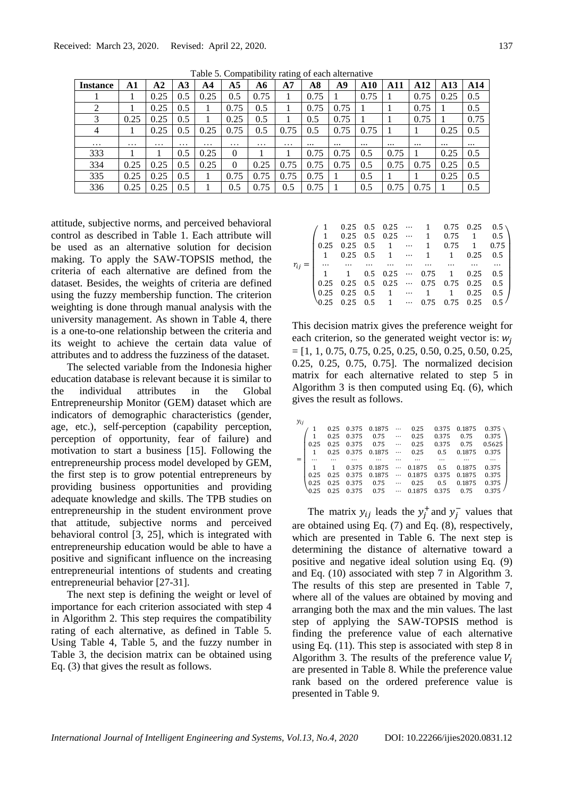| Tuble 5: Compatibility futing of each ditermative |          |                |                |          |                |          |          |          |          |            |          |                 |          |          |
|---------------------------------------------------|----------|----------------|----------------|----------|----------------|----------|----------|----------|----------|------------|----------|-----------------|----------|----------|
| <b>Instance</b>                                   | A1       | A <sub>2</sub> | A <sub>3</sub> | A4       | A <sub>5</sub> | A6       | A7       | A8       | A9       | <b>A10</b> | A11      | A <sub>12</sub> | A13      | A14      |
|                                                   |          | 0.25           | 0.5            | 0.25     | 0.5            | 0.75     |          | 0.75     |          | 0.75       |          | 0.75            | 0.25     | 0.5      |
| 2                                                 |          | 0.25           | 0.5            |          | 0.75           | 0.5      |          | 0.75     | 0.75     |            |          | 0.75            |          | 0.5      |
| 3                                                 | 0.25     | 0.25           | 0.5            |          | 0.25           | 0.5      |          | 0.5      | 0.75     |            |          | 0.75            |          | 0.75     |
| 4                                                 |          | 0.25           | 0.5            | 0.25     | 0.75           | 0.5      | 0.75     | 0.5      | 0.75     | 0.75       |          |                 | 0.25     | 0.5      |
| $\cdots$                                          | $\cdots$ | $\cdots$       | $\cdots$       | $\cdots$ | $\cdots$       | $\cdots$ | $\cdots$ | $\cdots$ | $\cdots$ | $\cdots$   | $\cdots$ | $\cdots$        | $\cdots$ | $\cdots$ |
| 333                                               |          |                | 0.5            | 0.25     | $\Omega$       |          |          | 0.75     | 0.75     | 0.5        | 0.75     |                 | 0.25     | 0.5      |
| 334                                               | 0.25     | 0.25           | 0.5            | 0.25     | $\Omega$       | 0.25     | 0.75     | 0.75     | 0.75     | 0.5        | 0.75     | 0.75            | 0.25     | 0.5      |
| 335                                               | 0.25     | 0.25           | 0.5            |          | 0.75           | 0.75     | 0.75     | 0.75     |          | 0.5        |          |                 | 0.25     | 0.5      |
| 336                                               | 0.25     | 0.25           | 0.5            |          | 0.5            | 0.75     | 0.5      | 0.75     |          | 0.5        | 0.75     | 0.75            |          | 0.5      |

Table 5. Compatibility rating of each alternative

attitude, subjective norms, and perceived behavioral control as described in Table 1. Each attribute will be used as an alternative solution for decision making. To apply the SAW-TOPSIS method, the criteria of each alternative are defined from the dataset. Besides, the weights of criteria are defined using the fuzzy membership function. The criterion weighting is done through manual analysis with the university management. As shown in Table 4, there is a one-to-one relationship between the criteria and its weight to achieve the certain data value of attributes and to address the fuzziness of the dataset.

The selected variable from the Indonesia higher education database is relevant because it is similar to the individual attributes in the Global Entrepreneurship Monitor (GEM) dataset which are indicators of demographic characteristics (gender, age, etc.), self-perception (capability perception, perception of opportunity, fear of failure) and motivation to start a business [15]. Following the entrepreneurship process model developed by GEM, the first step is to grow potential entrepreneurs by providing business opportunities and providing adequate knowledge and skills. The TPB studies on entrepreneurship in the student environment prove that attitude, subjective norms and perceived behavioral control [3, 25], which is integrated with entrepreneurship education would be able to have a positive and significant influence on the increasing entrepreneurial intentions of students and creating entrepreneurial behavior [27-31].

The next step is defining the weight or level of importance for each criterion associated with step 4 in Algorithm 2. This step requires the compatibility rating of each alternative, as defined in Table 5. Using Table 4, Table 5, and the fuzzy number in Table 3, the decision matrix can be obtained using Eq. (3) that gives the result as follows.

| 0.25     |  |  |  |                                                                                                                                                                                                                                                                                                                     |
|----------|--|--|--|---------------------------------------------------------------------------------------------------------------------------------------------------------------------------------------------------------------------------------------------------------------------------------------------------------------------|
| 1        |  |  |  | $\begin{array}{cccccc} 0.25 & 0.5 & 0.25 & \cdots & 1 & 0.75 & 0.25 & 0.5 \\ 0.25 & 0.5 & 0.25 & \cdots & 1 & 0.75 & 1 & 0.5 \\ 0.25 & 0.5 & 1 & \cdots & 1 & 0.75 & 1 & 0.75 \\ 0.25 & 0.5 & 1 & \cdots & 1 & 1 & 0.25 & 0.5 \\ \cdots & \cdots & \cdots & \cdots & \cdots & \cdots & \cdots & \cdots \end{array}$ |
| $\cdots$ |  |  |  |                                                                                                                                                                                                                                                                                                                     |
|          |  |  |  |                                                                                                                                                                                                                                                                                                                     |
|          |  |  |  |                                                                                                                                                                                                                                                                                                                     |
|          |  |  |  |                                                                                                                                                                                                                                                                                                                     |
|          |  |  |  | $\begin{array}{ccccccccc} 1 & 1 & 0.5 & 0.25 & \cdots & 0.75 & 1 & 0.25 & 0.5 \\ 0.25 & 0.25 & 0.5 & 0.25 & \cdots & 0.75 & 0.75 & 0.25 & 0.5 \\ 0.25 & 0.25 & 0.5 & 1 & \cdots & 1 & 1 & 0.25 & 0.5 \\ 0.25 & 0.25 & 0.5 & 1 & \cdots & 0.75 & 0.75 & 0.25 & 0.5 \end{array}$                                      |

This decision matrix gives the preference weight for each criterion, so the generated weight vector is:  $w_i$  $=[1, 1, 0.75, 0.75, 0.25, 0.25, 0.50, 0.25, 0.50, 0.25,$ 0.25, 0.25, 0.75, 0.75]. The normalized decision matrix for each alternative related to step 5 in Algorithm 3 is then computed using Eq. (6), which gives the result as follows.

| 0.1875<br>0.375 |
|-----------------|
| 0.375           |
| 0.5625          |
| 0.1875<br>0.375 |
|                 |
| 0.1875<br>0.375 |
| 0.1875<br>0.375 |
| 0.375<br>0.1875 |
|                 |
|                 |

The matrix  $y_{ij}$  leads the  $y_j^+$  and  $y_j^-$  values that are obtained using Eq. (7) and Eq. (8), respectively, which are presented in Table 6. The next step is determining the distance of alternative toward a positive and negative ideal solution using Eq. (9) and Eq. (10) associated with step 7 in Algorithm 3. The results of this step are presented in Table 7, where all of the values are obtained by moving and arranging both the max and the min values. The last step of applying the SAW-TOPSIS method is finding the preference value of each alternative using Eq. (11). This step is associated with step 8 in Algorithm 3. The results of the preference value  $V_i$ are presented in Table 8. While the preference value rank based on the ordered preference value is presented in Table 9.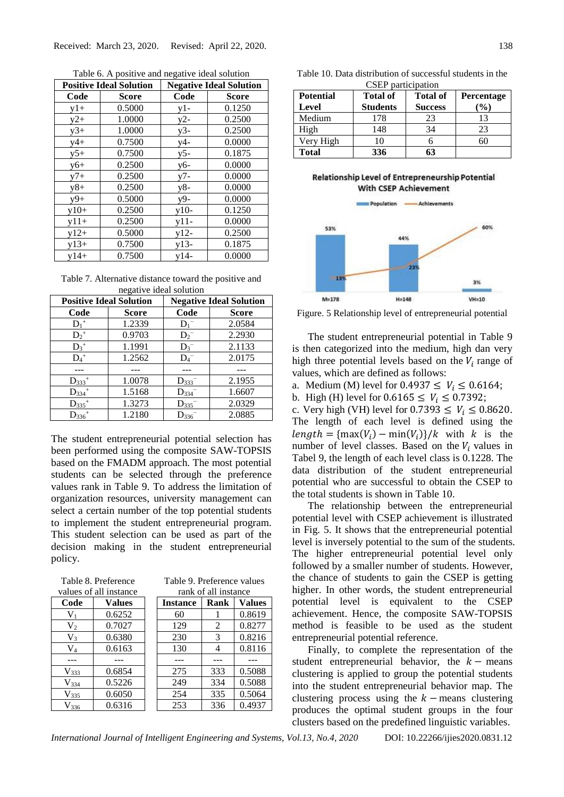|        | <b>Positive Ideal Solution</b> |                  | <b>Negative Ideal Solution</b> |
|--------|--------------------------------|------------------|--------------------------------|
| Code   | Score                          | Code             | <b>Score</b>                   |
| $y1+$  | 0.5000                         | $y1-$            | 0.1250                         |
| $y2+$  | 1.0000                         | $y2-$            | 0.2500                         |
| $y3+$  | 1.0000                         | $y3-$            | 0.2500                         |
| $y4+$  | 0.7500                         | y4-              | 0.0000                         |
| $y5+$  | 0.7500                         | $y5-$            | 0.1875                         |
| $y6+$  | 0.2500                         | y6-              | 0.0000                         |
| $y7+$  | 0.2500                         | $y7-$            | 0.0000                         |
| $y8+$  | 0.2500                         | $y8-$            | 0.0000                         |
| $y9+$  | 0.5000                         | y9-              | 0.0000                         |
| $y10+$ | 0.2500                         | $y10-$           | 0.1250                         |
| $y11+$ | 0.2500                         | $y11 -$          | 0.0000                         |
| $y12+$ | 0.5000                         | $y12-$           | 0.2500                         |
| $y13+$ | 0.7500                         | y13-             | 0.1875                         |
| $v14+$ | 0.7500                         | $y1\overline{4}$ | 0.0000                         |

Table 6. A positive and negative ideal solution

Table 7. Alternative distance toward the positive and negative ideal solution

| <b>Positive Ideal Solution</b> |              | <b>Negative Ideal Solution</b> |              |  |  |
|--------------------------------|--------------|--------------------------------|--------------|--|--|
| Code                           | <b>Score</b> | Code                           | <b>Score</b> |  |  |
| $D_1^+$                        | 1.2339       | $D_1^-$                        | 2.0584       |  |  |
| $D_2^+$                        | 0.9703       | $D_2^-$                        | 2.2930       |  |  |
| $D_3$ <sup>+</sup>             | 1.1991       | $D_3^-$                        | 2.1133       |  |  |
| $D_4$ <sup>+</sup>             | 1.2562       | $D_4^-$                        | 2.0175       |  |  |
|                                |              |                                |              |  |  |
| $D_{333}$ <sup>+</sup>         | 1.0078       | $D_{333}$                      | 2.1955       |  |  |
| $D_{334}$ <sup>+</sup>         | 1.5168       | $D_{334}$                      | 1.6607       |  |  |
| $D_{335}$ <sup>+</sup>         | 1.3273       | $D_{335}$                      | 2.0329       |  |  |
| $D_{336}$ <sup>+</sup>         | 1.2180       | $D_{336}^-$                    | 2.0885       |  |  |

The student entrepreneurial potential selection has been performed using the composite SAW-TOPSIS based on the FMADM approach. The most potential students can be selected through the preference values rank in Table 9. To address the limitation of organization resources, university management can select a certain number of the top potential students to implement the student entrepreneurial program. This student selection can be used as part of the decision making in the student entrepreneurial policy.

| Table 8. Preference    |
|------------------------|
| values of all instance |

| Code               | <b>Values</b> | [r |
|--------------------|---------------|----|
| $V_{1}$            | 0.6252        |    |
| V <sub>2</sub>     | 0.7027        |    |
| $V_3$              | 0.6380        |    |
| $\rm V_4$          | 0.6163        |    |
|                    |               |    |
| V <sub>333</sub>   | 0.6854        |    |
| $V_{334}$          | 0.5226        |    |
| V <sub>335</sub>   | 0.6050        |    |
| $V_{\alpha\alpha}$ | 0.6316        |    |

| Table 9. Preference values   |
|------------------------------|
| المستحقق والمستقاط والمستحدث |

| alues of all instance |        |                         | rank of all instance |     |               |  |
|-----------------------|--------|-------------------------|----------------------|-----|---------------|--|
| Code                  | Values | Rank<br><b>Instance</b> |                      |     | <b>Values</b> |  |
| $V_1$                 | 0.6252 |                         | 60                   | ı   | 0.8619        |  |
| V <sub>2</sub>        | 0.7027 |                         | 129                  | 2   | 0.8277        |  |
| $V_3$                 | 0.6380 |                         | 230                  | 3   | 0.8216        |  |
| $V_4$                 | 0.6163 |                         | 130                  | 4   | 0.8116        |  |
|                       |        |                         |                      |     |               |  |
| $V_{333}$             | 0.6854 |                         | 275                  | 333 | 0.5088        |  |
| $V_{334}$             | 0.5226 |                         | 249                  | 334 | 0.5088        |  |
| $V_{335}$             | 0.6050 |                         | 254                  | 335 | 0.5064        |  |
| $V_{336}$             | 0.6316 |                         | 253                  | 336 | 0.4937        |  |

|  | Table 10. Data distribution of successful students in the |  |  |
|--|-----------------------------------------------------------|--|--|
|  | CSEP participation                                        |  |  |

| <b>Potential</b><br>Level | <b>Total of</b><br><b>Students</b> | <b>Total of</b><br><b>Success</b> | Percentage<br>$(\%)$ |
|---------------------------|------------------------------------|-----------------------------------|----------------------|
| Medium                    | 178                                | 23                                | 13                   |
| High                      | 148                                | 34                                | 23                   |
| Very High                 | 10                                 |                                   |                      |
| <b>Total</b>              | 336                                | 63                                |                      |

Relationship Level of Entrepreneurship Potential **With CSEP Achievement** 



Figure. 5 Relationship level of entrepreneurial potential

The student entrepreneurial potential in Table 9 is then categorized into the medium, high dan very high three potential levels based on the  $V_i$  range of values, which are defined as follows:

- a. Medium (M) level for  $0.4937 \le V_i \le 0.6164$ ;
- b. High (H) level for  $0.6165 \le V_i \le 0.7392$ ;

c. Very high (VH) level for  $0.7393 \leq V_i \leq 0.8620$ . The length of each level is defined using the  $length = \{max(V_i) - min(V_i)\}/k$  with k is the number of level classes. Based on the  $V_i$  values in Tabel 9, the length of each level class is 0.1228. The data distribution of the student entrepreneurial potential who are successful to obtain the CSEP to the total students is shown in Table 10.

The relationship between the entrepreneurial potential level with CSEP achievement is illustrated in Fig. 5. It shows that the entrepreneurial potential level is inversely potential to the sum of the students. The higher entrepreneurial potential level only followed by a smaller number of students. However, the chance of students to gain the CSEP is getting higher. In other words, the student entrepreneurial potential level is equivalent to the CSEP achievement. Hence, the composite SAW-TOPSIS method is feasible to be used as the student entrepreneurial potential reference.

Finally, to complete the representation of the student entrepreneurial behavior, the  $k -$  means clustering is applied to group the potential students into the student entrepreneurial behavior map. The clustering process using the  $k$  – means clustering produces the optimal student groups in the four clusters based on the predefined linguistic variables.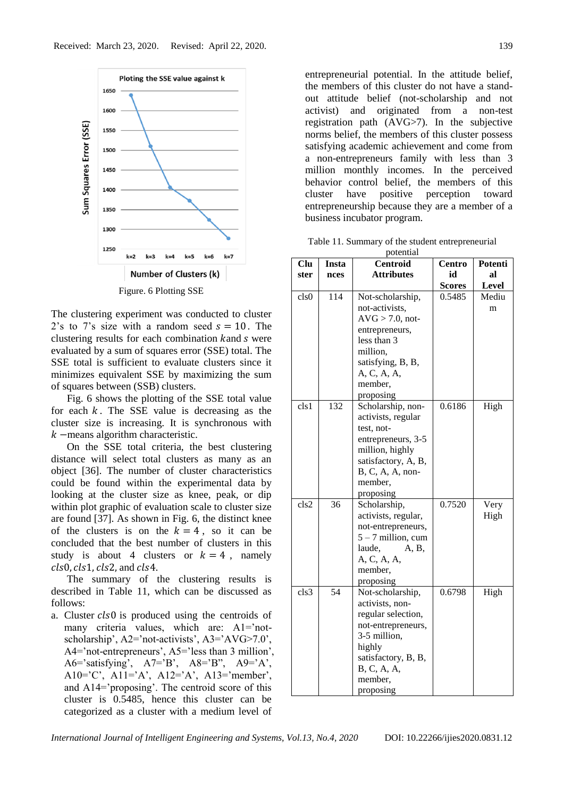

Figure. 6 Plotting SSE

The clustering experiment was conducted to cluster 2's to 7's size with a random seed  $s = 10$ . The clustering results for each combination  $k$  and  $s$  were evaluated by a sum of squares error (SSE) total. The SSE total is sufficient to evaluate clusters since it minimizes equivalent SSE by maximizing the sum of squares between (SSB) clusters.

Fig. 6 shows the plotting of the SSE total value for each  $k$ . The SSE value is decreasing as the cluster size is increasing. It is synchronous with  $k$  –means algorithm characteristic.

On the SSE total criteria, the best clustering distance will select total clusters as many as an object [36]. The number of cluster characteristics could be found within the experimental data by looking at the cluster size as knee, peak, or dip within plot graphic of evaluation scale to cluster size are found [37]. As shown in Fig. 6, the distinct knee of the clusters is on the  $k = 4$ , so it can be concluded that the best number of clusters in this study is about 4 clusters or  $k = 4$ , namely  $cls0, cls1, cls2,$  and  $cls4$ .

The summary of the clustering results is described in Table 11, which can be discussed as follows:

a. Cluster cls0 is produced using the centroids of many criteria values, which are: A1='notscholarship', A2='not-activists', A3='AVG>7.0', A4='not-entrepreneurs', A5='less than 3 million', A6='satisfying', A7='B', A8='B", A9='A', A10='C', A11='A', A12='A', A13='member', and A14='proposing'. The centroid score of this cluster is 0.5485, hence this cluster can be categorized as a cluster with a medium level of

entrepreneurial potential. In the attitude belief, the members of this cluster do not have a standout attitude belief (not-scholarship and not activist) and originated from a non-test registration path (AVG>7). In the subjective norms belief, the members of this cluster possess satisfying academic achievement and come from a non-entrepreneurs family with less than 3 million monthly incomes. In the perceived behavior control belief, the members of this cluster have positive perception toward entrepreneurship because they are a member of a business incubator program.

Table 11. Summary of the student entrepreneurial potential

| Clu              | Insta | Centroid                      | Centro        | Potenti      |
|------------------|-------|-------------------------------|---------------|--------------|
| ster             | nces  | <b>Attributes</b>             | id            | al           |
|                  |       |                               | <b>Scores</b> | <b>Level</b> |
| cls <sub>0</sub> | 114   | Not-scholarship,              | 0.5485        | Mediu        |
|                  |       | not-activists,                |               | m            |
|                  |       | $AVG > 7.0$ , not-            |               |              |
|                  |       | entrepreneurs,                |               |              |
|                  |       | less than 3                   |               |              |
|                  |       | million,                      |               |              |
|                  |       | satisfying, B, B,             |               |              |
|                  |       | A, C, A, A,                   |               |              |
|                  |       | member,                       |               |              |
|                  |       | proposing                     |               |              |
| cls1             | 132   | Scholarship, non-             | 0.6186        | High         |
|                  |       | activists, regular            |               |              |
|                  |       | test, not-                    |               |              |
|                  |       | entrepreneurs, 3-5            |               |              |
|                  |       | million, highly               |               |              |
|                  |       | satisfactory, A, B,           |               |              |
|                  |       | B, C, A, A, non-              |               |              |
|                  |       | member,                       |               |              |
|                  |       | proposing                     |               |              |
| cls2             | 36    | Scholarship,                  | 0.7520        | Very         |
|                  |       | activists, regular,           |               | High         |
|                  |       | not-entrepreneurs,            |               |              |
|                  |       | $5 - 7$ million, cum          |               |              |
|                  |       | laude,<br>A, B,               |               |              |
|                  |       | A, C, A, A,                   |               |              |
|                  |       | member,                       |               |              |
| cls3             | 54    | proposing                     |               |              |
|                  |       | Not-scholarship,              | 0.6798        | High         |
|                  |       | activists, non-               |               |              |
|                  |       | regular selection,            |               |              |
|                  |       | not-entrepreneurs,            |               |              |
|                  |       | 3-5 million,                  |               |              |
|                  |       | highly<br>satisfactory, B, B, |               |              |
|                  |       | B, C, A, A,                   |               |              |
|                  |       | member,                       |               |              |
|                  |       |                               |               |              |
|                  |       | proposing                     |               |              |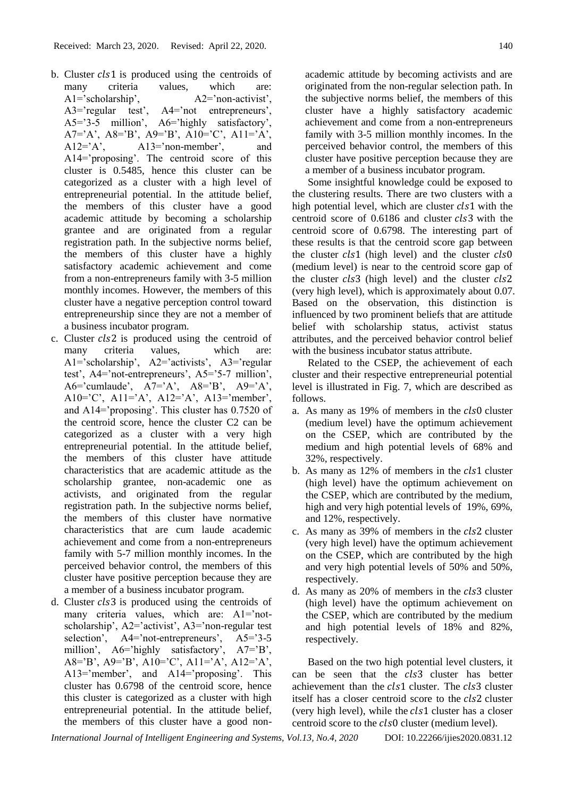- b. Cluster  $cls1$  is produced using the centroids of many criteria values, which are: A1='scholarship', A2='non-activist', A3='regular test', A4='not entrepreneurs', A5='3-5 million', A6='highly satisfactory', A7='A', A8='B', A9='B', A10='C', A11='A',  $A12='A'$ ,  $A13='non-member'$ , and A14='proposing'. The centroid score of this cluster is 0.5485, hence this cluster can be categorized as a cluster with a high level of entrepreneurial potential. In the attitude belief, the members of this cluster have a good academic attitude by becoming a scholarship grantee and are originated from a regular registration path. In the subjective norms belief, the members of this cluster have a highly satisfactory academic achievement and come from a non-entrepreneurs family with 3-5 million monthly incomes. However, the members of this cluster have a negative perception control toward entrepreneurship since they are not a member of a business incubator program.
- c. Cluster  $cls2$  is produced using the centroid of many criteria values, which are: A1='scholarship', A2='activists', A3='regular test', A4='not-entrepreneurs', A5='5-7 million', A6='cumlaude', A7='A', A8='B', A9='A', A10='C', A11='A', A12='A', A13='member', and A14='proposing'. This cluster has 0.7520 of the centroid score, hence the cluster C2 can be categorized as a cluster with a very high entrepreneurial potential. In the attitude belief, the members of this cluster have attitude characteristics that are academic attitude as the scholarship grantee, non-academic one as activists, and originated from the regular registration path. In the subjective norms belief, the members of this cluster have normative characteristics that are cum laude academic achievement and come from a non-entrepreneurs family with 5-7 million monthly incomes. In the perceived behavior control, the members of this cluster have positive perception because they are a member of a business incubator program.
- d. Cluster  $cls3$  is produced using the centroids of many criteria values, which are: A1='notscholarship', A2='activist', A3='non-regular test selection', A4='not-entrepreneurs', A5='3-5 million', A6='highly satisfactory', A7='B', A8='B', A9='B', A10='C', A11='A', A12='A', A13='member', and A14='proposing'. This cluster has 0.6798 of the centroid score, hence this cluster is categorized as a cluster with high entrepreneurial potential. In the attitude belief, the members of this cluster have a good non-

academic attitude by becoming activists and are originated from the non-regular selection path. In the subjective norms belief, the members of this cluster have a highly satisfactory academic achievement and come from a non-entrepreneurs family with 3-5 million monthly incomes. In the perceived behavior control, the members of this cluster have positive perception because they are a member of a business incubator program.

Some insightful knowledge could be exposed to the clustering results. There are two clusters with a high potential level, which are cluster  $cls1$  with the centroid score of 0.6186 and cluster cls3 with the centroid score of 0.6798. The interesting part of these results is that the centroid score gap between the cluster  $cls1$  (high level) and the cluster  $cls0$ (medium level) is near to the centroid score gap of the cluster  $cls3$  (high level) and the cluster  $cls2$ (very high level), which is approximately about 0.07. Based on the observation, this distinction is influenced by two prominent beliefs that are attitude belief with scholarship status, activist status attributes, and the perceived behavior control belief with the business incubator status attribute.

Related to the CSEP, the achievement of each cluster and their respective entrepreneurial potential level is illustrated in Fig. 7, which are described as follows.

- a. As many as 19% of members in the *cls0* cluster (medium level) have the optimum achievement on the CSEP, which are contributed by the medium and high potential levels of 68% and 32%, respectively.
- b. As many as 12% of members in the cls1 cluster (high level) have the optimum achievement on the CSEP, which are contributed by the medium, high and very high potential levels of 19%, 69%, and 12%, respectively.
- c. As many as 39% of members in the *cls*2 cluster (very high level) have the optimum achievement on the CSEP, which are contributed by the high and very high potential levels of 50% and 50%, respectively.
- d. As many as 20% of members in the cls3 cluster (high level) have the optimum achievement on the CSEP, which are contributed by the medium and high potential levels of 18% and 82%, respectively.

Based on the two high potential level clusters, it can be seen that the cls3 cluster has better achievement than the cls1 cluster. The cls3 cluster itself has a closer centroid score to the *cls2* cluster (very high level), while the  $cls1$  cluster has a closer centroid score to the *cls*0 cluster (medium level).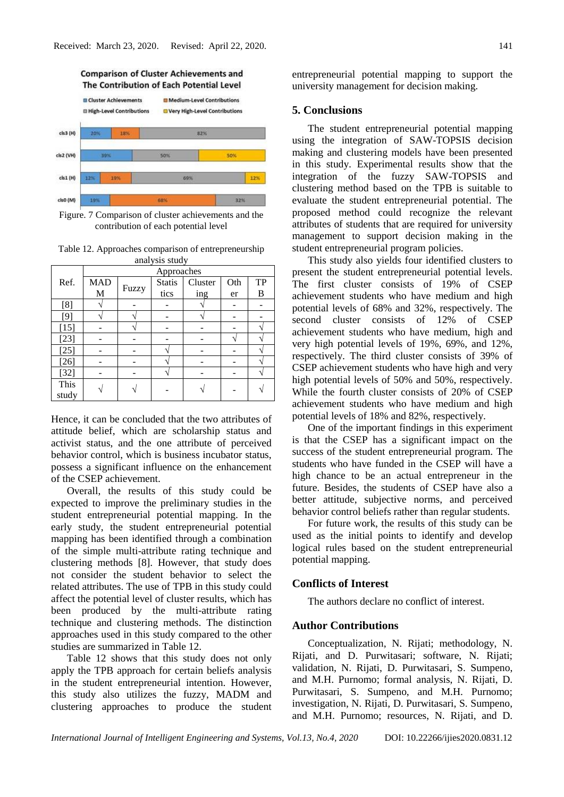

Figure. 7 Comparison of cluster achievements and the contribution of each potential level

Table 12. Approaches comparison of entrepreneurship analysis study

| anaryons stuu y |            |       |               |         |     |    |
|-----------------|------------|-------|---------------|---------|-----|----|
|                 | Approaches |       |               |         |     |    |
| Ref.            | <b>MAD</b> |       | <b>Statis</b> | Cluster | Oth | TP |
|                 | M          | Fuzzy | tics          | ing     | er  | B  |
| [8]             |            |       |               |         |     |    |
| [9]             |            |       |               |         |     |    |
| $[15]$          |            |       |               |         |     |    |
| $[23]$          |            |       |               |         |     |    |
| $[25]$          |            |       |               |         |     |    |
| $[26]$          |            |       |               |         |     |    |
| $[32]$          |            |       |               |         |     |    |
| This            |            |       |               |         |     |    |
| study           |            |       |               |         |     |    |

Hence, it can be concluded that the two attributes of attitude belief, which are scholarship status and activist status, and the one attribute of perceived behavior control, which is business incubator status, possess a significant influence on the enhancement of the CSEP achievement.

Overall, the results of this study could be expected to improve the preliminary studies in the student entrepreneurial potential mapping. In the early study, the student entrepreneurial potential mapping has been identified through a combination of the simple multi-attribute rating technique and clustering methods [8]. However, that study does not consider the student behavior to select the related attributes. The use of TPB in this study could affect the potential level of cluster results, which has been produced by the multi-attribute rating technique and clustering methods. The distinction approaches used in this study compared to the other studies are summarized in Table 12.

Table 12 shows that this study does not only apply the TPB approach for certain beliefs analysis in the student entrepreneurial intention. However, this study also utilizes the fuzzy, MADM and clustering approaches to produce the student entrepreneurial potential mapping to support the university management for decision making.

#### **5. Conclusions**

The student entrepreneurial potential mapping using the integration of SAW-TOPSIS decision making and clustering models have been presented in this study. Experimental results show that the integration of the fuzzy SAW-TOPSIS and clustering method based on the TPB is suitable to evaluate the student entrepreneurial potential. The proposed method could recognize the relevant attributes of students that are required for university management to support decision making in the student entrepreneurial program policies.

This study also yields four identified clusters to present the student entrepreneurial potential levels. The first cluster consists of 19% of CSEP achievement students who have medium and high potential levels of 68% and 32%, respectively. The second cluster consists of 12% of CSEP achievement students who have medium, high and very high potential levels of 19%, 69%, and 12%, respectively. The third cluster consists of 39% of CSEP achievement students who have high and very high potential levels of 50% and 50%, respectively. While the fourth cluster consists of 20% of CSEP achievement students who have medium and high potential levels of 18% and 82%, respectively.

One of the important findings in this experiment is that the CSEP has a significant impact on the success of the student entrepreneurial program. The students who have funded in the CSEP will have a high chance to be an actual entrepreneur in the future. Besides, the students of CSEP have also a better attitude, subjective norms, and perceived behavior control beliefs rather than regular students.

For future work, the results of this study can be used as the initial points to identify and develop logical rules based on the student entrepreneurial potential mapping.

### **Conflicts of Interest**

The authors declare no conflict of interest.

# **Author Contributions**

Conceptualization, N. Rijati; methodology, N. Rijati, and D. Purwitasari; software, N. Rijati; validation, N. Rijati, D. Purwitasari, S. Sumpeno, and M.H. Purnomo; formal analysis, N. Rijati, D. Purwitasari, S. Sumpeno, and M.H. Purnomo; investigation, N. Rijati, D. Purwitasari, S. Sumpeno, and M.H. Purnomo; resources, N. Rijati, and D.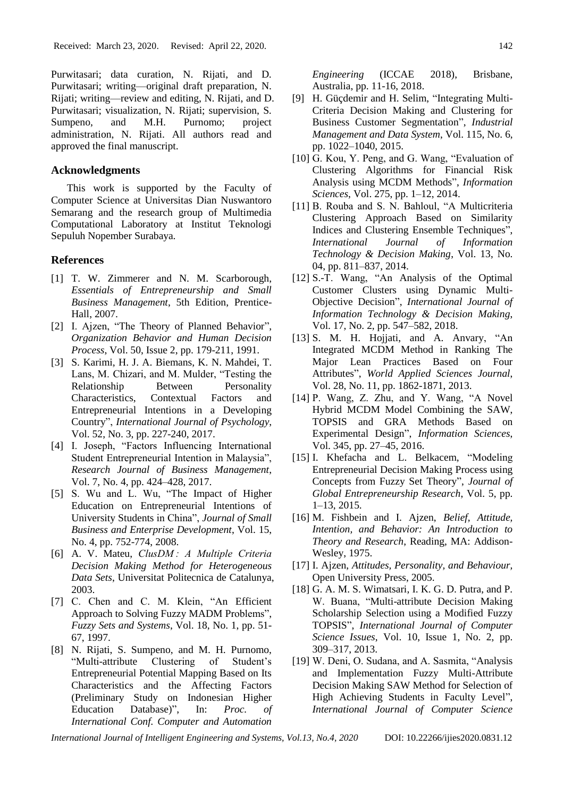Purwitasari; data curation, N. Rijati, and D. Purwitasari; writing—original draft preparation, N. Rijati; writing—review and editing, N. Rijati, and D. Purwitasari; visualization, N. Rijati; supervision, S. Sumpeno, and M.H. Purnomo; project administration, N. Rijati. All authors read and approved the final manuscript.

# **Acknowledgments**

This work is supported by the Faculty of Computer Science at Universitas Dian Nuswantoro Semarang and the research group of Multimedia Computational Laboratory at Institut Teknologi Sepuluh Nopember Surabaya.

### **References**

- [1] T. W. Zimmerer and N. M. Scarborough, *Essentials of Entrepreneurship and Small Business Management*, 5th Edition, Prentice-Hall, 2007.
- [2] I. Ajzen, "The Theory of Planned Behavior", *Organization Behavior and Human Decision Process*, Vol. 50, Issue 2, pp. 179-211, 1991.
- [3] S. Karimi, H. J. A. Biemans, K. N. Mahdei, T. Lans, M. Chizari, and M. Mulder, "Testing the Relationship Between Personality Characteristics, Contextual Factors and Entrepreneurial Intentions in a Developing Country", *International Journal of Psychology*, Vol. 52, No. 3, pp. 227-240, 2017.
- [4] I. Joseph, "Factors Influencing International Student Entrepreneurial Intention in Malaysia", *Research Journal of Business Management*, Vol. 7, No. 4, pp. 424–428, 2017.
- [5] S. Wu and L. Wu, "The Impact of Higher Education on Entrepreneurial Intentions of University Students in China", *Journal of Small Business and Enterprise Development*, Vol. 15, No. 4, pp. 752-774, 2008.
- [6] A. V. Mateu, *ClusDM : A Multiple Criteria Decision Making Method for Heterogeneous Data Sets*, Universitat Politecnica de Catalunya, 2003.
- [7] C. Chen and C. M. Klein, "An Efficient Approach to Solving Fuzzy MADM Problems", *Fuzzy Sets and Systems*, Vol. 18, No. 1, pp. 51- 67, 1997.
- [8] N. Rijati, S. Sumpeno, and M. H. Purnomo, "Multi-attribute Clustering of Student's Entrepreneurial Potential Mapping Based on Its Characteristics and the Affecting Factors (Preliminary Study on Indonesian Higher Education Database)", In: *Proc. of International Conf. Computer and Automation*

*Engineering* (ICCAE 2018), Brisbane, Australia, pp. 11-16, 2018.

- [9] H. Güçdemir and H. Selim, "Integrating Multi-Criteria Decision Making and Clustering for Business Customer Segmentation", *Industrial Management and Data System*, Vol. 115, No. 6, pp. 1022–1040, 2015.
- [10] G. Kou, Y. Peng, and G. Wang, "Evaluation of Clustering Algorithms for Financial Risk Analysis using MCDM Methods", *Information Sciences*, Vol. 275, pp. 1–12, 2014.
- [11] B. Rouba and S. N. Bahloul, "A Multicriteria Clustering Approach Based on Similarity Indices and Clustering Ensemble Techniques", *International Journal of Information Technology & Decision Making*, Vol. 13, No. 04, pp. 811–837, 2014.
- [12] S.-T. Wang, "An Analysis of the Optimal Customer Clusters using Dynamic Multi-Objective Decision", *International Journal of Information Technology & Decision Making*, Vol. 17, No. 2, pp. 547–582, 2018.
- [13] S. M. H. Hojjati, and A. Anvary, "An Integrated MCDM Method in Ranking The Major Lean Practices Based on Four Attributes", *World Applied Sciences Journal*, Vol. 28, No. 11, pp. 1862-1871, 2013.
- [14] P. Wang, Z. Zhu, and Y. Wang, "A Novel Hybrid MCDM Model Combining the SAW, TOPSIS and GRA Methods Based on Experimental Design", *Information Sciences*, Vol. 345, pp. 27–45, 2016.
- [15] I. Khefacha and L. Belkacem, "Modeling Entrepreneurial Decision Making Process using Concepts from Fuzzy Set Theory", *Journal of Global Entrepreneurship Research*, Vol. 5, pp. 1–13, 2015.
- [16] M. Fishbein and I. Ajzen, *Belief, Attitude, Intention, and Behavior: An Introduction to Theory and Research*, Reading, MA: Addison-Wesley, 1975.
- [17] I. Ajzen, *Attitudes, Personality, and Behaviour,* Open University Press, 2005.
- [18] G. A. M. S. Wimatsari, I. K. G. D. Putra, and P. W. Buana, "Multi-attribute Decision Making Scholarship Selection using a Modified Fuzzy TOPSIS", *International Journal of Computer Science Issues*, Vol. 10, Issue 1, No. 2, pp. 309–317, 2013.
- [19] W. Deni, O. Sudana, and A. Sasmita, "Analysis and Implementation Fuzzy Multi-Attribute Decision Making SAW Method for Selection of High Achieving Students in Faculty Level", *International Journal of Computer Science*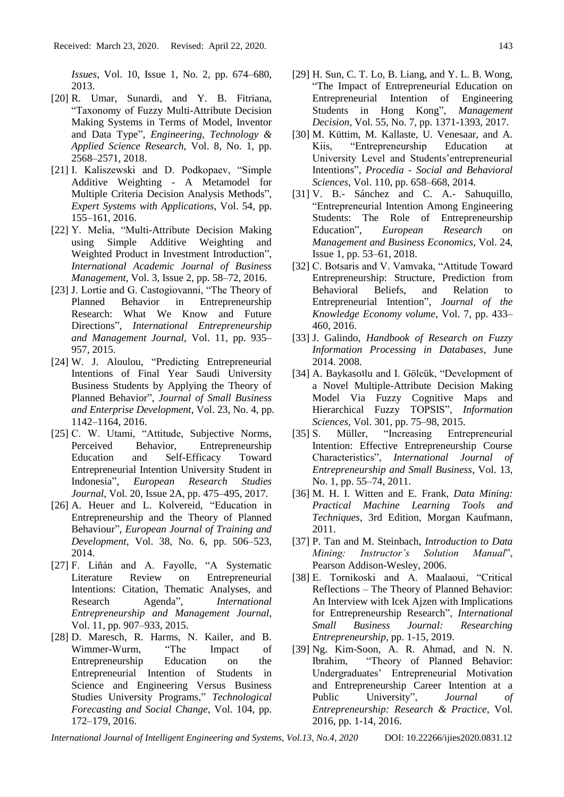*Issues*, Vol. 10, Issue 1, No. 2, pp. 674–680, 2013.

- [20] R. Umar, Sunardi, and Y. B. Fitriana, "Taxonomy of Fuzzy Multi-Attribute Decision Making Systems in Terms of Model, Inventor and Data Type", *Engineering, Technology & Applied Science Research*, Vol. 8, No. 1, pp. 2568–2571, 2018.
- [21] I. Kaliszewski and D. Podkopaev, "Simple Additive Weighting - A Metamodel for Multiple Criteria Decision Analysis Methods", *Expert Systems with Applications*, Vol. 54, pp. 155–161, 2016.
- [22] Y. Melia, "Multi-Attribute Decision Making using Simple Additive Weighting and Weighted Product in Investment Introduction", *International Academic Journal of Business Management*, Vol. 3, Issue 2, pp. 58–72, 2016.
- [23] J. Lortie and G. Castogiovanni, "The Theory of Planned Behavior in Entrepreneurship Research: What We Know and Future Directions", *International Entrepreneurship and Management Journal*, Vol. 11, pp. 935– 957, 2015.
- [24] W. J. Aloulou, "Predicting Entrepreneurial Intentions of Final Year Saudi University Business Students by Applying the Theory of Planned Behavior", *Journal of Small Business and Enterprise Development*, Vol. 23, No. 4, pp. 1142–1164, 2016.
- [25] C. W. Utami, "Attitude, Subjective Norms, Perceived Behavior, Entrepreneurship Education and Self-Efficacy Toward Entrepreneurial Intention University Student in Indonesia", *European Research Studies Journal*, Vol. 20, Issue 2A, pp. 475–495, 2017.
- [26] A. Heuer and L. Kolvereid, "Education in Entrepreneurship and the Theory of Planned Behaviour", *European Journal of Training and Development*, Vol. 38, No. 6, pp. 506–523, 2014.
- [27] F. Liñán and A. Fayolle, "A Systematic Literature Review on Entrepreneurial Intentions: Citation, Thematic Analyses, and Research Agenda", *International Entrepreneurship and Management Journal*, Vol. 11, pp. 907–933, 2015.
- [28] D. Maresch, R. Harms, N. Kailer, and B. Wimmer-Wurm, "The Impact of Entrepreneurship Education on the Entrepreneurial Intention of Students in Science and Engineering Versus Business Studies University Programs," *Technological Forecasting and Social Change*, Vol. 104, pp. 172–179, 2016.
- [29] H. Sun, C. T. Lo, B. Liang, and Y. L. B. Wong, "The Impact of Entrepreneurial Education on Entrepreneurial Intention of Engineering Students in Hong Kong", *Management Decision*, Vol. 55, No. 7, pp. 1371-1393, 2017.
- [30] M. Küttim, M. Kallaste, U. Venesaar, and A. Kiis, "Entrepreneurship Education at University Level and Students'entrepreneurial Intentions", *Procedia - Social and Behavioral Sciences*, Vol. 110, pp. 658–668, 2014.
- [31] V. B.- Sánchez and C. A.- Sahuquillo, "Entrepreneurial Intention Among Engineering Students: The Role of Entrepreneurship Education", *European Research on Management and Business Economics*, Vol. 24, Issue 1, pp. 53–61, 2018.
- [32] C. Botsaris and V. Vamvaka, "Attitude Toward Entrepreneurship: Structure, Prediction from Behavioral Beliefs, and Relation to Entrepreneurial Intention", *Journal of the Knowledge Economy volume*, Vol. 7, pp. 433– 460, 2016.
- [33] J. Galindo, *Handbook of Research on Fuzzy Information Processing in Databases*, June 2014. 2008.
- [34] A. Baykasollu and I. Gölcük, "Development of a Novel Multiple-Attribute Decision Making Model Via Fuzzy Cognitive Maps and Hierarchical Fuzzy TOPSIS", *Information Sciences,* Vol. 301, pp. 75–98, 2015.
- [35] S. Müller, "Increasing Entrepreneurial Intention: Effective Entrepreneurship Course Characteristics", *International Journal of Entrepreneurship and Small Business*, Vol. 13, No. 1, pp. 55–74, 2011.
- [36] M. H. I. Witten and E. Frank, *Data Mining: Practical Machine Learning Tools and Techniques*, 3rd Edition, Morgan Kaufmann, 2011.
- [37] P. Tan and M. Steinbach, *Introduction to Data Mining: Instructor's Solution Manual*", Pearson Addison-Wesley, 2006.
- [38] E. Tornikoski and A. Maalaoui, "Critical Reflections – The Theory of Planned Behavior: An Interview with Icek Ajzen with Implications for Entrepreneurship Research", *International Small Business Journal: Researching Entrepreneurship*, pp. 1-15, 2019.
- [39] Ng. Kim-Soon, A. R. Ahmad, and N. N. Ibrahim, "Theory of Planned Behavior: Undergraduates' Entrepreneurial Motivation and Entrepreneurship Career Intention at a Public University", *Journal of Entrepreneurship: Research & Practice*, Vol. 2016, pp. 1-14, 2016.